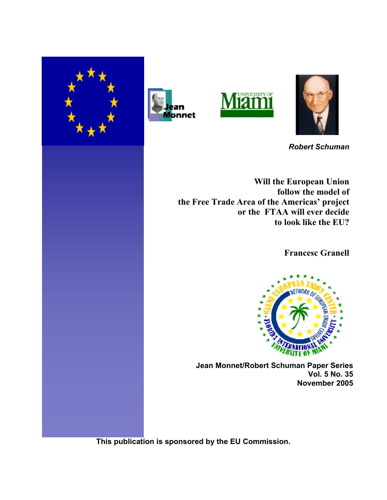







*Robert Schuman*

**Will the European Union follow the model of the Free Trade Area of the Americas' project or the FTAA will ever decide to look like the EU?**

 **Francesc Granell**



 **Jean Monnet/Robert Schuman Paper Series Vol. 5 No. 35 November 2005**

**This publication is sponsored by the EU Commission.**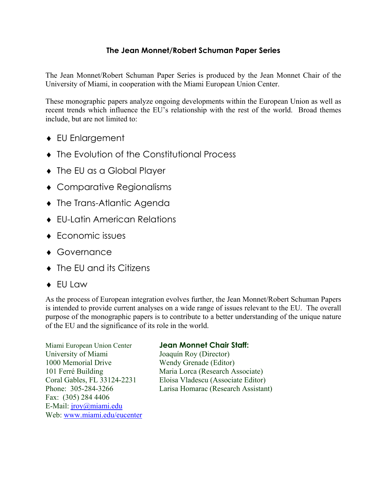# **The Jean Monnet/Robert Schuman Paper Series**

The Jean Monnet/Robert Schuman Paper Series is produced by the Jean Monnet Chair of the University of Miami, in cooperation with the Miami European Union Center.

These monographic papers analyze ongoing developments within the European Union as well as recent trends which influence the EU's relationship with the rest of the world. Broad themes include, but are not limited to:

- ♦ EU Enlargement
- ♦ The Evolution of the Constitutional Process
- ♦ The EU as a Global Player
- ♦ Comparative Regionalisms
- ♦ The Trans-Atlantic Agenda
- ♦ EU-Latin American Relations
- ♦ Economic issues
- Governance
- ♦ The EU and its Citizens
- ♦ EU Law

As the process of European integration evolves further, the Jean Monnet/Robert Schuman Papers is intended to provide current analyses on a wide range of issues relevant to the EU. The overall purpose of the monographic papers is to contribute to a better understanding of the unique nature of the EU and the significance of its role in the world.

Miami European Union Center **Jean Monnet Chair Staff:** University of Miami Joaquín Roy (Director) 1000 Memorial Drive Wendy Grenade (Editor) Fax: (305) 284 4406 E-Mail: jroy@miami.edu Web: www.miami.edu/eucenter

101 Ferré Building Maria Lorca (Research Associate) Coral Gables, FL 33124-2231 Eloisa Vladescu (Associate Editor) Phone: 305-284-3266 Larisa Homarac (Research Assistant)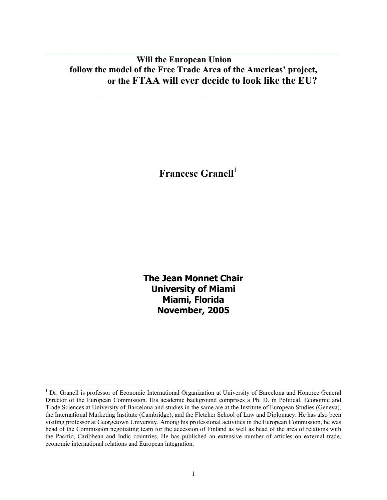# **Will the European Union follow the model of the Free Trade Area of the Americas' project, or the FTAA will ever decide to look like the EU?**

**\_\_\_\_\_\_\_\_\_\_\_\_\_\_\_\_\_\_\_\_\_\_\_\_\_\_\_\_\_\_\_\_\_\_\_\_\_\_\_\_\_\_\_\_\_\_\_\_\_\_\_\_\_\_\_\_\_\_\_\_\_\_\_\_\_\_** 

 $\mathcal{L}_\mathcal{L} = \mathcal{L}_\mathcal{L} = \mathcal{L}_\mathcal{L} = \mathcal{L}_\mathcal{L} = \mathcal{L}_\mathcal{L} = \mathcal{L}_\mathcal{L} = \mathcal{L}_\mathcal{L} = \mathcal{L}_\mathcal{L} = \mathcal{L}_\mathcal{L} = \mathcal{L}_\mathcal{L} = \mathcal{L}_\mathcal{L} = \mathcal{L}_\mathcal{L} = \mathcal{L}_\mathcal{L} = \mathcal{L}_\mathcal{L} = \mathcal{L}_\mathcal{L} = \mathcal{L}_\mathcal{L} = \mathcal{L}_\mathcal{L}$ 

**Francesc Granell**<sup>1</sup>

**The Jean Monnet Chair University of Miami Miami, Florida November, 2005** 

<sup>&</sup>lt;sup>1</sup> Dr. Granell is professor of Economic International Organization at University of Barcelona and Honoree General Director of the European Commission. His academic background comprises a Ph. D. in Political, Economic and Trade Sciences at University of Barcelona and studies in the same are at the Institute of European Studies (Geneva), the International Marketing Institute (Cambridge), and the Fletcher School of Law and Diplomacy. He has also been visiting professor at Georgetown University. Among his professional activities in the European Commission, he was head of the Commission negotiating team for the accession of Finland as well as head of the area of relations with the Pacific, Caribbean and Indic countries. He has published an extensive number of articles on external trade, economic international relations and European integration.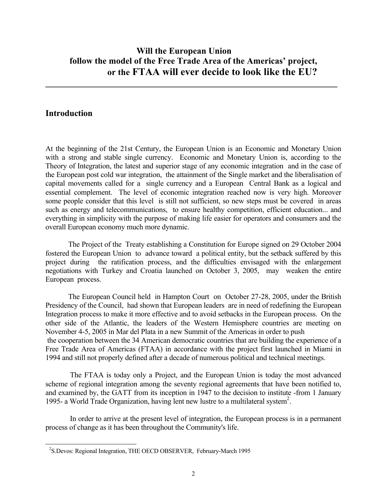# **Will the European Union follow the model of the Free Trade Area of the Americas' project, or the FTAA will ever decide to look like the EU?**

**\_\_\_\_\_\_\_\_\_\_\_\_\_\_\_\_\_\_\_\_\_\_\_\_\_\_\_\_\_\_\_\_\_\_\_\_\_\_\_\_\_\_\_\_\_\_\_\_\_\_\_\_\_\_\_\_\_\_\_\_\_\_\_\_\_\_** 

# **Introduction**

l

At the beginning of the 21st Century, the European Union is an Economic and Monetary Union with a strong and stable single currency. Economic and Monetary Union is, according to the Theory of Integration, the latest and superior stage of any economic integration and in the case of the European post cold war integration, the attainment of the Single market and the liberalisation of capital movements called for a single currency and a European Central Bank as a logical and essential complement. The level of economic integration reached now is very high. Moreover some people consider that this level is still not sufficient, so new steps must be covered in areas such as energy and telecommunications, to ensure healthy competition, efficient education... and everything in simplicity with the purpose of making life easier for operators and consumers and the overall European economy much more dynamic.

 The Project of the Treaty establishing a Constitution for Europe signed on 29 October 2004 fostered the European Union to advance toward a political entity, but the setback suffered by this project during the ratification process, and the difficulties envisaged with the enlargement negotiations with Turkey and Croatia launched on October 3, 2005, may weaken the entire European process.

 The European Council held in Hampton Court on October 27-28, 2005, under the British Presidency of the Council, had shown that European leaders are in need of redefining the European Integration process to make it more effective and to avoid setbacks in the European process. On the other side of the Atlantic, the leaders of the Western Hemisphere countries are meeting on November 4-5, 2005 in Mar del Plata in a new Summit of the Americas in order to push the cooperation between the 34 American democratic countries that are building the experience of a Free Trade Area of Americas (FTAA) in accordance with the project first launched in Miami in 1994 and still not properly defined after a decade of numerous political and technical meetings.

 The FTAA is today only a Project, and the European Union is today the most advanced scheme of regional integration among the seventy regional agreements that have been notified to, and examined by, the GATT from its inception in 1947 to the decision to institute -from 1 January 1995- a World Trade Organization, having lent new lustre to a multilateral system2 .

 In order to arrive at the present level of integration, the European process is in a permanent process of change as it has been throughout the Community's life.

<sup>&</sup>lt;sup>2</sup>S.Devos: Regional Integration, THE OECD OBSERVER, February-March 1995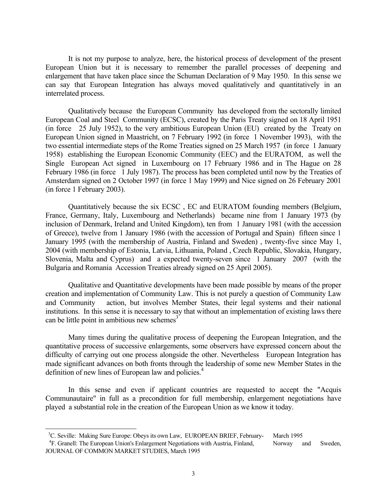It is not my purpose to analyze, here, the historical process of development of the present European Union but it is necessary to remember the parallel processes of deepening and enlargement that have taken place since the Schuman Declaration of 9 May 1950. In this sense we can say that European Integration has always moved qualitatively and quantitatively in an interrelated process.

 Qualitatively because the European Community has developed from the sectorally limited European Coal and Steel Community (ECSC), created by the Paris Treaty signed on 18 April 1951 (in force 25 July 1952), to the very ambitious European Union (EU) created by the Treaty on European Union signed in Maastricht, on 7 February 1992 (in force 1 November 1993), with the two essential intermediate steps of the Rome Treaties signed on 25 March 1957 (in force 1 January 1958) establishing the European Economic Community (EEC) and the EURATOM, as well the Single European Act signed in Luxembourg on 17 February 1986 and in The Hague on 28 February 1986 (in force 1 July 1987). The process has been completed until now by the Treaties of Amsterdam signed on 2 October 1997 (in force 1 May 1999) and Nice signed on 26 February 2001 (in force 1 February 2003).

 Quantitatively because the six ECSC , EC and EURATOM founding members (Belgium, France, Germany, Italy, Luxembourg and Netherlands) became nine from 1 January 1973 (by inclusion of Denmark, Ireland and United Kingdom), ten from 1 January 1981 (with the accession of Greece), twelve from 1 January 1986 (with the accession of Portugal and Spain) fifteen since 1 January 1995 (with the membership of Austria, Finland and Sweden) , twenty-five since May 1, 2004 (with membership of Estonia, Latvia, Lithuania, Poland , Czech Republic, Slovakia, Hungary, Slovenia, Malta and Cyprus) and a expected twenty-seven since 1 January 2007 (with the Bulgaria and Romania Accession Treaties already signed on 25 April 2005).

 Qualitative and Quantitative developments have been made possible by means of the proper creation and implementation of Community Law. This is not purely a question of Community Law and Community action, but involves Member States, their legal systems and their national institutions. In this sense it is necessary to say that without an implementation of existing laws there can be little point in ambitious new schemes<sup>3</sup>

 Many times during the qualitative process of deepening the European Integration, and the quantitative process of successive enlargements, some observers have expressed concern about the difficulty of carrying out one process alongside the other. Nevertheless European Integration has made significant advances on both fronts through the leadership of some new Member States in the definition of new lines of European law and policies.<sup>4</sup>

 In this sense and even if applicant countries are requested to accept the "Acquis Communautaire" in full as a precondition for full membership, enlargement negotiations have played a substantial role in the creation of the European Union as we know it today.

<sup>&</sup>lt;sup>3</sup>C. Seville: Making Sure Europe: Obeys its own Law, EUROPEAN BRIEF, February- March 1995<br><sup>4</sup>F. Granell: The European Union's Enlargement Negotiations with Austria, Finland, Norway and Sweden,

JOURNAL OF COMMON MARKET STUDIES, March 1995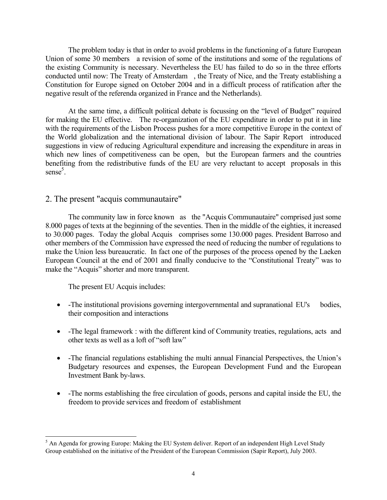The problem today is that in order to avoid problems in the functioning of a future European Union of some 30 members a revision of some of the institutions and some of the regulations of the existing Community is necessary. Nevertheless the EU has failed to do so in the three efforts conducted until now: The Treaty of Amsterdam , the Treaty of Nice, and the Treaty establishing a Constitution for Europe signed on October 2004 and in a difficult process of ratification after the negative result of the referenda organized in France and the Netherlands).

 At the same time, a difficult political debate is focussing on the "level of Budget" required for making the EU effective. The re-organization of the EU expenditure in order to put it in line with the requirements of the Lisbon Process pushes for a more competitive Europe in the context of the World globalization and the international division of labour. The Sapir Report introduced suggestions in view of reducing Agricultural expenditure and increasing the expenditure in areas in which new lines of competitiveness can be open, but the European farmers and the countries benefiting from the redistributive funds of the EU are very reluctant to accept proposals in this sense<sup>5</sup>.

#### 2. The present "acquis communautaire"

 The community law in force known as the "Acquis Communautaire" comprised just some 8.000 pages of texts at the beginning of the seventies. Then in the middle of the eighties, it increased to 30.000 pages. Today the global Acquis comprises some 130.000 pages. President Barroso and other members of the Commission have expressed the need of reducing the number of regulations to make the Union less bureaucratic. In fact one of the purposes of the process opened by the Laeken European Council at the end of 2001 and finally conducive to the "Constitutional Treaty" was to make the "Acquis" shorter and more transparent.

The present EU Acquis includes:

- -The institutional provisions governing intergovernmental and supranational EU's bodies, their composition and interactions
- -The legal framework : with the different kind of Community treaties, regulations, acts and other texts as well as a loft of "soft law"
- -The financial regulations establishing the multi annual Financial Perspectives, the Union's Budgetary resources and expenses, the European Development Fund and the European Investment Bank by-laws.
- -The norms establishing the free circulation of goods, persons and capital inside the EU, the freedom to provide services and freedom of establishment

<sup>&</sup>lt;sup>5</sup> An Agenda for growing Europe: Making the EU System deliver. Report of an independent High Level Study Group established on the initiative of the President of the European Commission (Sapir Report), July 2003.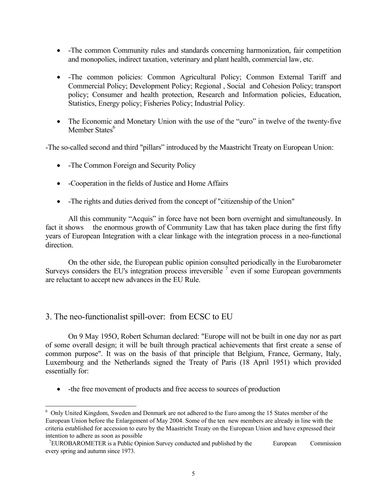- -The common Community rules and standards concerning harmonization, fair competition and monopolies, indirect taxation, veterinary and plant health, commercial law, etc.
- -The common policies: Common Agricultural Policy; Common External Tariff and Commercial Policy; Development Policy; Regional , Social and Cohesion Policy; transport policy; Consumer and health protection, Research and Information policies, Education, Statistics, Energy policy; Fisheries Policy; Industrial Policy.
- The Economic and Monetary Union with the use of the "euro" in twelve of the twenty-five Member States<sup>6</sup>

-The so-called second and third "pillars" introduced by the Maastricht Treaty on European Union:

- -The Common Foreign and Security Policy
- -Cooperation in the fields of Justice and Home Affairs
- -The rights and duties derived from the concept of "citizenship of the Union"

 All this community "Acquis" in force have not been born overnight and simultaneously. In fact it shows the enormous growth of Community Law that has taken place during the first fifty years of European Integration with a clear linkage with the integration process in a neo-functional direction.

 On the other side, the European public opinion consulted periodically in the Eurobarometer Surveys considers the EU's integration process irreversible  $<sup>7</sup>$  even if some European governments</sup> are reluctant to accept new advances in the EU Rule.

# 3. The neo-functionalist spill-over: from ECSC to EU

l

 On 9 May 195O, Robert Schuman declared: "Europe will not be built in one day nor as part of some overall design; it will be built through practical achievements that first create a sense of common purpose". It was on the basis of that principle that Belgium, France, Germany, Italy, Luxembourg and the Netherlands signed the Treaty of Paris (18 April 1951) which provided essentially for:

• -the free movement of products and free access to sources of production

<sup>&</sup>lt;sup>6</sup> Only United Kingdom, Sweden and Denmark are not adhered to the Euro among the 15 States member of the European Union before the Enlargement of May 2004. Some of the ten new members are already in line with the criteria established for accession to euro by the Maastricht Treaty on the European Union and have expressed their intention to adhere as soon as possible

 $7$ EUROBAROMETER is a Public Opinion Survey conducted and published by the European Commission every spring and autumn since 1973.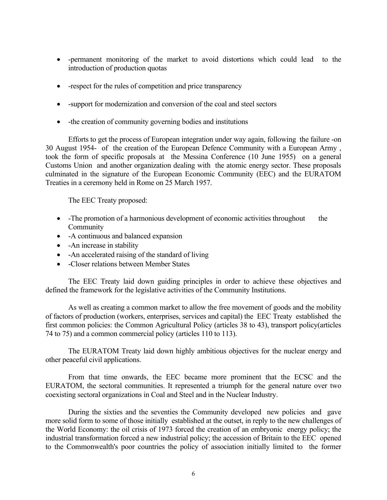- -permanent monitoring of the market to avoid distortions which could lead to the introduction of production quotas
- -respect for the rules of competition and price transparency
- -support for modernization and conversion of the coal and steel sectors
- the creation of community governing bodies and institutions

 Efforts to get the process of European integration under way again, following the failure -on 30 August 1954- of the creation of the European Defence Community with a European Army , took the form of specific proposals at the Messina Conference (10 June 1955) on a general Customs Union and another organization dealing with the atomic energy sector. These proposals culminated in the signature of the European Economic Community (EEC) and the EURATOM Treaties in a ceremony held in Rome on 25 March 1957.

The EEC Treaty proposed:

- -The promotion of a harmonious development of economic activities throughout the Community
- -A continuous and balanced expansion
- -An increase in stability
- -An accelerated raising of the standard of living
- -Closer relations between Member States

 The EEC Treaty laid down guiding principles in order to achieve these objectives and defined the framework for the legislative activities of the Community Institutions.

 As well as creating a common market to allow the free movement of goods and the mobility of factors of production (workers, enterprises, services and capital) the EEC Treaty established the first common policies: the Common Agricultural Policy (articles 38 to 43), transport policy(articles 74 to 75) and a common commercial policy (articles 110 to 113).

 The EURATOM Treaty laid down highly ambitious objectives for the nuclear energy and other peaceful civil applications.

 From that time onwards, the EEC became more prominent that the ECSC and the EURATOM, the sectoral communities. It represented a triumph for the general nature over two coexisting sectoral organizations in Coal and Steel and in the Nuclear Industry.

 During the sixties and the seventies the Community developed new policies and gave more solid form to some of those initially established at the outset, in reply to the new challenges of the World Economy: the oil crisis of 1973 forced the creation of an embryonic energy policy; the industrial transformation forced a new industrial policy; the accession of Britain to the EEC opened to the Commonwealth's poor countries the policy of association initially limited to the former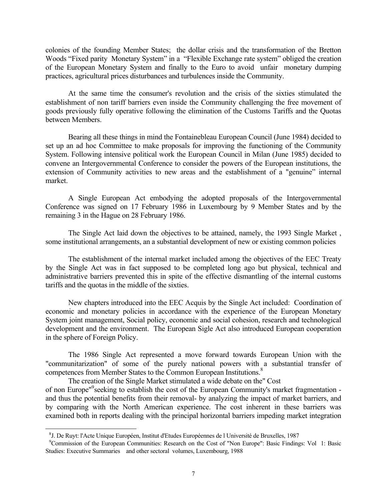colonies of the founding Member States; the dollar crisis and the transformation of the Bretton Woods "Fixed parity Monetary System" in a "Flexible Exchange rate system" obliged the creation of the European Monetary System and finally to the Euro to avoid unfair monetary dumping practices, agricultural prices disturbances and turbulences inside the Community.

 At the same time the consumer's revolution and the crisis of the sixties stimulated the establishment of non tariff barriers even inside the Community challenging the free movement of goods previously fully operative following the elimination of the Customs Tariffs and the Quotas between Members.

 Bearing all these things in mind the Fontainebleau European Council (June 1984) decided to set up an ad hoc Committee to make proposals for improving the functioning of the Community System. Following intensive political work the European Council in Milan (June 1985) decided to convene an Intergovernmental Conference to consider the powers of the European institutions, the extension of Community activities to new areas and the establishment of a "genuine" internal market.

 A Single European Act embodying the adopted proposals of the Intergovernmental Conference was signed on 17 February 1986 in Luxembourg by 9 Member States and by the remaining 3 in the Hague on 28 February 1986.

 The Single Act laid down the objectives to be attained, namely, the 1993 Single Market , some institutional arrangements, an a substantial development of new or existing common policies

 The establishment of the internal market included among the objectives of the EEC Treaty by the Single Act was in fact supposed to be completed long ago but physical, technical and administrative barriers prevented this in spite of the effective dismantling of the internal customs tariffs and the quotas in the middle of the sixties.

 New chapters introduced into the EEC Acquis by the Single Act included: Coordination of economic and monetary policies in accordance with the experience of the European Monetary System joint management, Social policy, economic and social cohesion, research and technological development and the environment. The European Sigle Act also introduced European cooperation in the sphere of Foreign Policy.

 The 1986 Single Act represented a move forward towards European Union with the "communitarization" of some of the purely national powers with a substantial transfer of competences from Member States to the Common European Institutions.<sup>8</sup>

 The creation of the Single Market stimulated a wide debate on the" Cost of non Europe"<sup>9</sup> seeking to establish the cost of the European Community's market fragmentation and thus the potential benefits from their removal- by analyzing the impact of market barriers, and by comparing with the North American experience. The cost inherent in these barriers was examined both in reports dealing with the principal horizontal barriers impeding market integration

<sup>&</sup>lt;sup>8</sup>J. De Ruyt: l'Acte Unique Européen, Institut d'Etudes Européennes de l'Université de Bruxelles, 1987<br><sup>9</sup>Commission of the European Communities: Research on the Cost of "Non Europe": Basic Findings: Vol 1: Basic Studies: Executive Summaries and other sectoral volumes, Luxembourg, 1988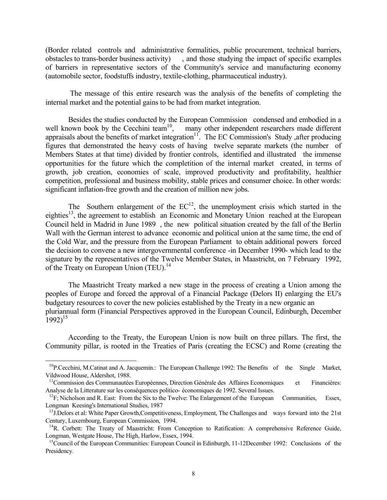(Border related controls and administrative formalities, public procurement, technical barriers, obstacles to trans-border business activity) , and those studying the impact of specific examples of barriers in representative sectors of the Community's service and manufacturing economy (automobile sector, foodstuffs industry, textile-clothing, pharmaceutical industry).

 The message of this entire research was the analysis of the benefits of completing the internal market and the potential gains to be had from market integration.

Besides the studies conducted by the European Commission condensed and embodied in a well known book by the Cecchini team<sup>10</sup>, many other independent researchers made different many other independent researchers made different appraisals about the benefits of market integration<sup>11</sup>. The EC Commission's Study ,after producing figures that demonstrated the heavy costs of having twelve separate markets (the number of Members States at that time) divided by frontier controls, identified and illustrated the immense opportunities for the future which the completition of the internal market created, in terms of growth, job creation, economies of scale, improved productivity and profitability, healthier competition, professional and business mobility, stable prices and consumer choice. In other words: significant inflation-free growth and the creation of million new jobs.

The Southern enlargement of the  $EC^{12}$ , the unemployment crisis which started in the eighties<sup>13</sup>, the agreement to establish an Economic and Monetary Union reached at the European Council held in Madrid in June 1989 , the new political situation created by the fall of the Berlin Wall with the German interest to advance economic and political union at the same time, the end of the Cold War, and the pressure from the European Parliament to obtain additional powers forced the decision to convene a new intergovernmental conference -in December 1990- which lead to the signature by the representatives of the Twelve Member States, in Maastricht, on 7 February 1992, of the Treaty on European Union (TEU).<sup>14</sup>

 The Maastricht Treaty marked a new stage in the process of creating a Union among the peoples of Europe and forced the approval of a Financial Package (Delors II) enlarging the EU's budgetary resources to cover the new policies established by the Treaty in a new organic an pluriannual form (Financial Perspectives approved in the European Council, Edinburgh, December  $1992$ <sup>15</sup>

 According to the Treaty, the European Union is now built on three pillars. The first, the Community pillar, is rooted in the Treaties of Paris (creating the ECSC) and Rome (creating the

<sup>&</sup>lt;sup>10</sup>P.Cecchini, M.Catinat and A. Jacquemin.: The European Challenge 1992: The Benefits of the Single Market, Vildwood House, Aldershot, 1988.

<sup>&</sup>lt;sup>11</sup>Commission des Communautées Européennes, Direction Générale des Affaires Economiques et Financières: Analyse de la Litterature sur les conséquences politico- économiques de 1992. Several Issues.<br><sup>12</sup>F; Nicholson and R. East: From the Six to the Twelve: The Enlargement of the European Communities, Essex,

Longman Keesing's International Studies, 1987

<sup>&</sup>lt;sup>13</sup>J.Delors et al: White Paper Growth,Competitiveness, Employment, The Challenges and ways forward into the 21st Century, Luxembourg, European Commission, 1994.

<sup>&</sup>lt;sup>14</sup>R. Corbett: The Treaty of Maastricht: From Conception to Ratification: A comprehensive Reference Guide, Longman, Westgate House, The High, Harlow, Essex, 1994.

<sup>&</sup>lt;sup>15</sup>Council of the European Communities: European Council in Edinburgh, 11-12December 1992: Conclusions of the Presidency.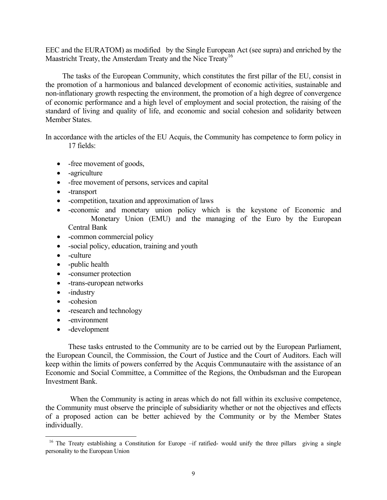EEC and the EURATOM) as modified by the Single European Act (see supra) and enriched by the Maastricht Treaty, the Amsterdam Treaty and the Nice Treaty<sup>16</sup>

 The tasks of the European Community, which constitutes the first pillar of the EU, consist in the promotion of a harmonious and balanced development of economic activities, sustainable and non-inflationary growth respecting the environment, the promotion of a high degree of convergence of economic performance and a high level of employment and social protection, the raising of the standard of living and quality of life, and economic and social cohesion and solidarity between Member States.

In accordance with the articles of the EU Acquis, the Community has competence to form policy in 17 fields:

- -free movement of goods,
- -agriculture
- -free movement of persons, services and capital
- -transport
- -competition, taxation and approximation of laws
- -economic and monetary union policy which is the keystone of Economic and Monetary Union (EMU) and the managing of the Euro by the European Central Bank
- -common commercial policy
- -social policy, education, training and youth
- -culture
- -public health
- -consumer protection
- -trans-european networks
- -industry
- -cohesion

l

- -research and technology
- -environment
- -development

 These tasks entrusted to the Community are to be carried out by the European Parliament, the European Council, the Commission, the Court of Justice and the Court of Auditors. Each will keep within the limits of powers conferred by the Acquis Communautaire with the assistance of an Economic and Social Committee, a Committee of the Regions, the Ombudsman and the European Investment Bank.

 When the Community is acting in areas which do not fall within its exclusive competence, the Community must observe the principle of subsidiarity whether or not the objectives and effects of a proposed action can be better achieved by the Community or by the Member States individually.

<sup>&</sup>lt;sup>16</sup> The Treaty establishing a Constitution for Europe –if ratified- would unify the three pillars giving a single personality to the European Union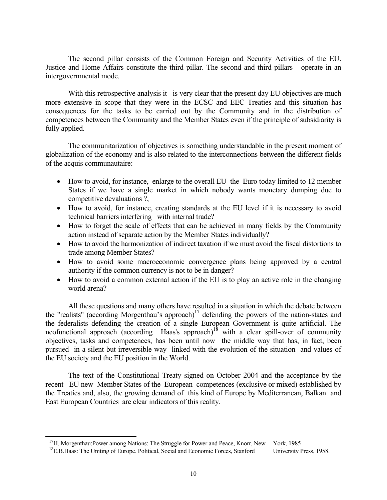The second pillar consists of the Common Foreign and Security Activities of the EU. Justice and Home Affairs constitute the third pillar. The second and third pillars operate in an intergovernmental mode.

With this retrospective analysis it is very clear that the present day EU objectives are much more extensive in scope that they were in the ECSC and EEC Treaties and this situation has consequences for the tasks to be carried out by the Community and in the distribution of competences between the Community and the Member States even if the principle of subsidiarity is fully applied.

 The communitarization of objectives is something understandable in the present moment of globalization of the economy and is also related to the interconnections between the different fields of the acquis communautaire:

- How to avoid, for instance, enlarge to the overall EU the Euro today limited to 12 member States if we have a single market in which nobody wants monetary dumping due to competitive devaluations ?,
- How to avoid, for instance, creating standards at the EU level if it is necessary to avoid technical barriers interfering with internal trade?
- How to forget the scale of effects that can be achieved in many fields by the Community action instead of separate action by the Member States individually?
- How to avoid the harmonization of indirect taxation if we must avoid the fiscal distortions to trade among Member States?
- How to avoid some macroeconomic convergence plans being approved by a central authority if the common currency is not to be in danger?
- How to avoid a common external action if the EU is to play an active role in the changing world arena?

 All these questions and many others have resulted in a situation in which the debate between the "realists" (according Morgenthau's approach)<sup>17</sup> defending the powers of the nation-states and the federalists defending the creation of a single European Government is quite artificial. The neofunctional approach (according Haas's approach)<sup>18</sup> with a clear spill-over of community objectives, tasks and competences, has been until now the middle way that has, in fact, been pursued in a silent but irreversible way linked with the evolution of the situation and values of the EU society and the EU position in the World.

 The text of the Constitutional Treaty signed on October 2004 and the acceptance by the recent EU new Member States of the European competences (exclusive or mixed) established by the Treaties and, also, the growing demand of this kind of Europe by Mediterranean, Balkan and East European Countries are clear indicators of this reality.

<sup>&</sup>lt;sup>17</sup>H. Morgenthau:Power among Nations: The Struggle for Power and Peace, Knorr, New York, 1985<br><sup>18</sup>E.B.Haas: The Uniting of Europe. Political, Social and Economic Forces, Stanford University Press, 1958.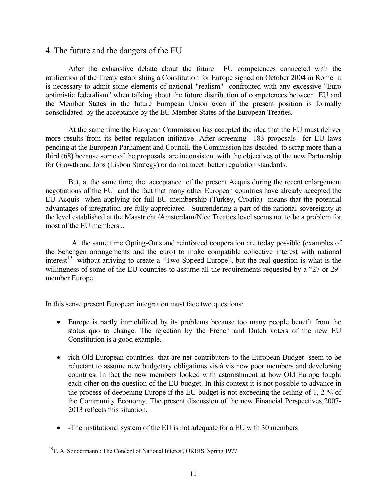### 4. The future and the dangers of the EU

 After the exhaustive debate about the future EU competences connected with the ratification of the Treaty establishing a Constitution for Europe signed on October 2004 in Rome it is necessary to admit some elements of national "realism" confronted with any excessive "Euro optimistic federalism" when talking about the future distribution of competences between EU and the Member States in the future European Union even if the present position is formally consolidated by the acceptance by the EU Member States of the European Treaties.

 At the same time the European Commission has accepted the idea that the EU must deliver more results from its better regulation initiative. After screening 183 proposals for EU laws pending at the European Parliament and Council, the Commission has decided to scrap more than a third (68) because some of the proposals are inconsistent with the objectives of the new Partnership for Growth and Jobs (Lisbon Strategy) or do not meet better regulation standards.

 But, at the same time, the acceptance of the present Acquis during the recent enlargement negotiations of the EU and the fact that many other European countries have already accepted the EU Acquis when applying for full EU membership (Turkey, Croatia) means that the potential advantages of integration are fully appreciated . Suurendering a part of the national sovereignty at the level established at the Maastricht /Amsterdam/Nice Treaties level seems not to be a problem for most of the EU members...

 At the same time Opting-Outs and reinforced cooperation are today possible (examples of the Schengen arrangements and the euro) to make compatible collective interest with national interest<sup>19</sup> without arriving to create a "Two Sppeed Europe", but the real question is what is the willingness of some of the EU countries to assume all the requirements requested by a "27 or 29" member Europe.

In this sense present European integration must face two questions:

- Europe is partly immobilized by its problems because too many people benefit from the status quo to change. The rejection by the French and Dutch voters of the new EU Constitution is a good example.
- rich Old European countries -that are net contributors to the European Budget- seem to be reluctant to assume new budgetary obligations vis à vis new poor members and developing countries. In fact the new members looked with astonishment at how Old Europe fought each other on the question of the EU budget. In this context it is not possible to advance in the process of deepening Europe if the EU budget is not exceeding the ceiling of 1, 2 % of the Community Economy. The present discussion of the new Financial Perspectives 2007- 2013 reflects this situation.
- -The institutional system of the EU is not adequate for a EU with 30 members

<sup>&</sup>lt;sup>19</sup>F. A. Sondermann : The Concept of National Interest, ORBIS, Spring 1977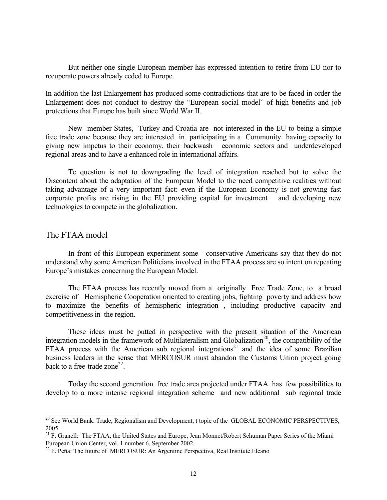But neither one single European member has expressed intention to retire from EU nor to recuperate powers already ceded to Europe.

In addition the last Enlargement has produced some contradictions that are to be faced in order the Enlargement does not conduct to destroy the "European social model" of high benefits and job protections that Europe has built since World War II.

 New member States, Turkey and Croatia are not interested in the EU to being a simple free trade zone because they are interested in participating in a Community having capacity to giving new impetus to their economy, their backwash economic sectors and underdeveloped regional areas and to have a enhanced role in international affairs.

 Te question is not to downgrading the level of integration reached but to solve the Discontent about the adaptation of the European Model to the need competitive realities without taking advantage of a very important fact: even if the European Economy is not growing fast corporate profits are rising in the EU providing capital for investment and developing new technologies to compete in the globalization.

#### The FTAA model

l

 In front of this European experiment some conservative Americans say that they do not understand why some American Politicians involved in the FTAA process are so intent on repeating Europe's mistakes concerning the European Model.

 The FTAA process has recently moved from a originally Free Trade Zone, to a broad exercise of Hemispheric Cooperation oriented to creating jobs, fighting poverty and address how to maximize the benefits of hemispheric integration , including productive capacity and competitiveness in the region.

 These ideas must be putted in perspective with the present situation of the American integration models in the framework of Multilateralism and Globalization<sup>20</sup>, the compatibility of the FTAA process with the American sub regional integrations<sup>21</sup> and the idea of some Brazilian business leaders in the sense that MERCOSUR must abandon the Customs Union project going back to a free-trade zone<sup>22</sup>

 Today the second generation free trade area projected under FTAA has few possibilities to develop to a more intense regional integration scheme and new additional sub regional trade

<sup>&</sup>lt;sup>20</sup> See World Bank: Trade, Regionalism and Development, t topic of the GLOBAL ECONOMIC PERSPECTIVES, 2005

<sup>&</sup>lt;sup>21</sup> F. Granell: The FTAA, the United States and Europe, Jean Monnet/Robert Schuman Paper Series of the Miami European Union Center, vol. 1 number 6, September 2002.

 $22$  F. Peña: The future of MERCOSUR: An Argentine Perspectiva, Real Institute Elcano